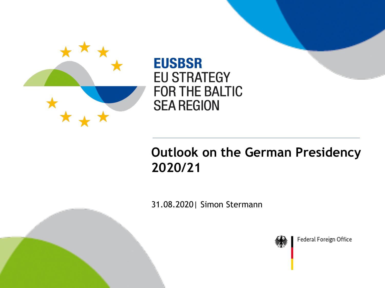

**EUSBSR EU STRATEGY FOR THE BALTIC SEA REGION** 

## **Outlook on the German Presidency 2020/21**

31.08.2020| Simon Stermann

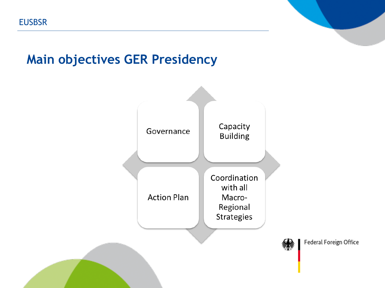### **Main objectives GER Presidency**

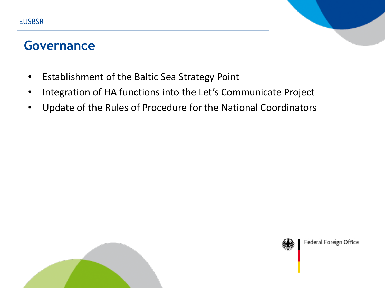#### **Governance**

- Establishment of the Baltic Sea Strategy Point
- Integration of HA functions into the Let's Communicate Project
- Update of the Rules of Procedure for the National Coordinators



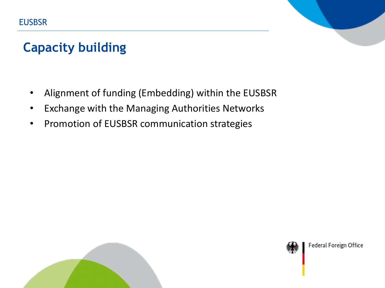# **Capacity building**

- Alignment of funding (Embedding) within the EUSBSR
- Exchange with the Managing Authorities Networks
- Promotion of EUSBSR communication strategies



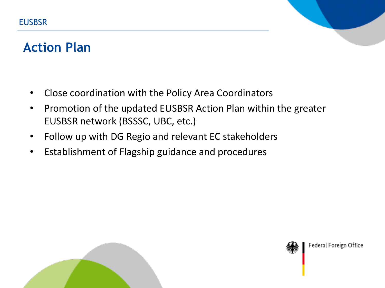#### **Action Plan**

- Close coordination with the Policy Area Coordinators
- Promotion of the updated EUSBSR Action Plan within the greater EUSBSR network (BSSSC, UBC, etc.)
- Follow up with DG Regio and relevant EC stakeholders
- Establishment of Flagship guidance and procedures



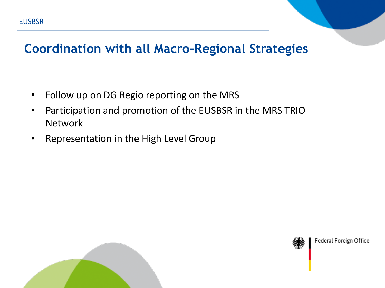#### **Coordination with all Macro-Regional Strategies**

- Follow up on DG Regio reporting on the MRS
- Participation and promotion of the EUSBSR in the MRS TRIO Network
- Representation in the High Level Group



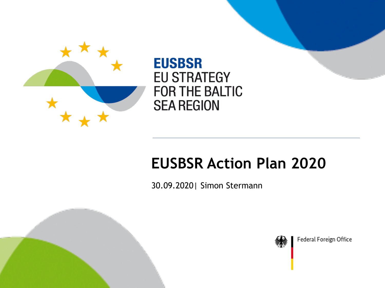

**EUSBSR EU STRATEGY FOR THE BALTIC SEA REGION** 

# **EUSBSR Action Plan 2020**

30.09.2020| Simon Stermann



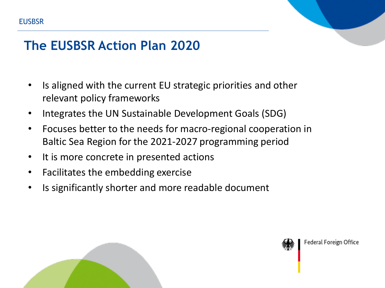

- Is aligned with the current EU strategic priorities and other relevant policy frameworks
- Integrates the UN Sustainable Development Goals (SDG)
- Focuses better to the needs for macro-regional cooperation in Baltic Sea Region for the 2021-2027 programming period
- It is more concrete in presented actions
- Facilitates the embedding exercise
- Is significantly shorter and more readable document



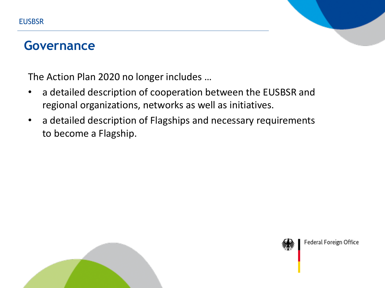#### **Governance**

The Action Plan 2020 no longer includes …

- a detailed description of cooperation between the EUSBSR and regional organizations, networks as well as initiatives.
- a detailed description of Flagships and necessary requirements to become a Flagship.



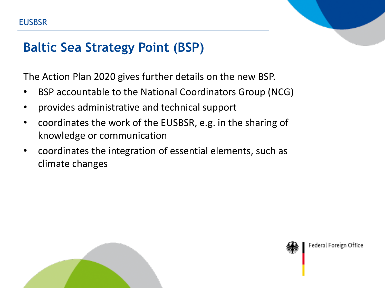#### **Baltic Sea Strategy Point (BSP)**

The Action Plan 2020 gives further details on the new BSP.

- BSP accountable to the National Coordinators Group (NCG)
- provides administrative and technical support
- coordinates the work of the EUSBSR, e.g. in the sharing of knowledge or communication
- coordinates the integration of essential elements, such as climate changes



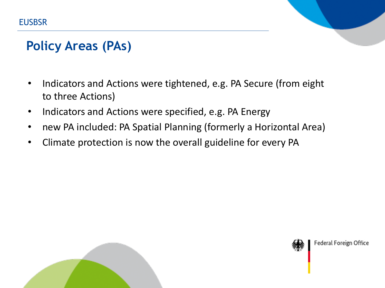### **Policy Areas (PAs)**

- Indicators and Actions were tightened, e.g. PA Secure (from eight to three Actions)
- Indicators and Actions were specified, e.g. PA Energy
- new PA included: PA Spatial Planning (formerly a Horizontal Area)
- Climate protection is now the overall guideline for every PA



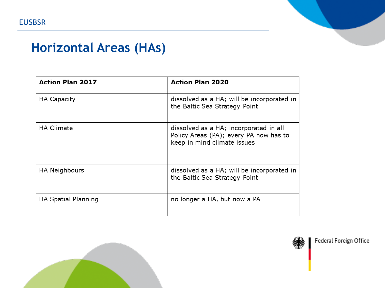## **Horizontal Areas (HAs)**

| <b>Action Plan 2017</b>    | <b>Action Plan 2020</b>                                                                                         |
|----------------------------|-----------------------------------------------------------------------------------------------------------------|
| <b>HA Capacity</b>         | dissolved as a HA; will be incorporated in<br>the Baltic Sea Strategy Point                                     |
| <b>HA Climate</b>          | dissolved as a HA; incorporated in all<br>Policy Areas (PA); every PA now has to<br>keep in mind climate issues |
| HA Neighbours              | dissolved as a HA; will be incorporated in<br>the Baltic Sea Strategy Point                                     |
| <b>HA Spatial Planning</b> | no longer a HA, but now a PA                                                                                    |